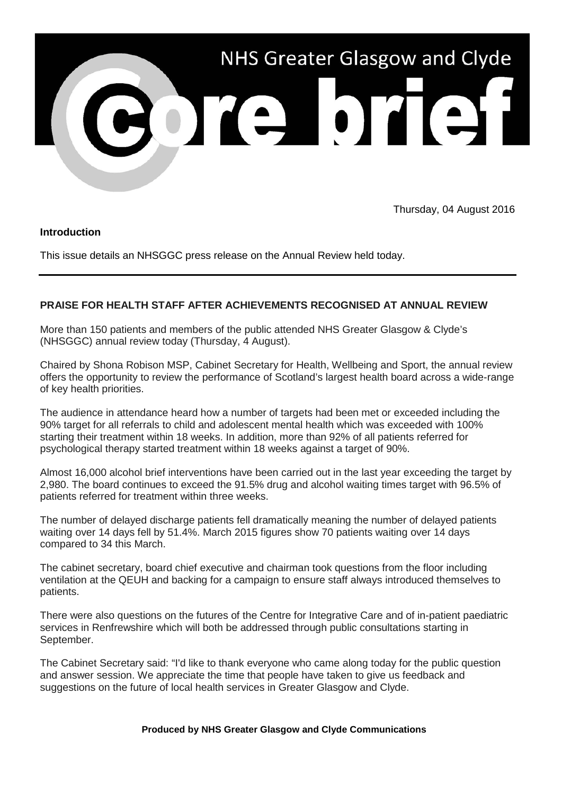

Thursday, 04 August 2016

## **Introduction**

This issue details an NHSGGC press release on the Annual Review held today.

## **PRAISE FOR HEALTH STAFF AFTER ACHIEVEMENTS RECOGNISED AT ANNUAL REVIEW**

More than 150 patients and members of the public attended NHS Greater Glasgow & Clyde's (NHSGGC) annual review today (Thursday, 4 August).

Chaired by Shona Robison MSP, Cabinet Secretary for Health, Wellbeing and Sport, the annual review offers the opportunity to review the performance of Scotland's largest health board across a wide-range of key health priorities.

The audience in attendance heard how a number of targets had been met or exceeded including the 90% target for all referrals to child and adolescent mental health which was exceeded with 100% starting their treatment within 18 weeks. In addition, more than 92% of all patients referred for psychological therapy started treatment within 18 weeks against a target of 90%.

Almost 16,000 alcohol brief interventions have been carried out in the last year exceeding the target by 2,980. The board continues to exceed the 91.5% drug and alcohol waiting times target with 96.5% of patients referred for treatment within three weeks.

The number of delayed discharge patients fell dramatically meaning the number of delayed patients waiting over 14 days fell by 51.4%. March 2015 figures show 70 patients waiting over 14 days compared to 34 this March.

The cabinet secretary, board chief executive and chairman took questions from the floor including ventilation at the QEUH and backing for a campaign to ensure staff always introduced themselves to patients.

There were also questions on the futures of the Centre for Integrative Care and of in-patient paediatric services in Renfrewshire which will both be addressed through public consultations starting in September.

The Cabinet Secretary said: "I'd like to thank everyone who came along today for the public question and answer session. We appreciate the time that people have taken to give us feedback and suggestions on the future of local health services in Greater Glasgow and Clyde.

## **Produced by NHS Greater Glasgow and Clyde Communications**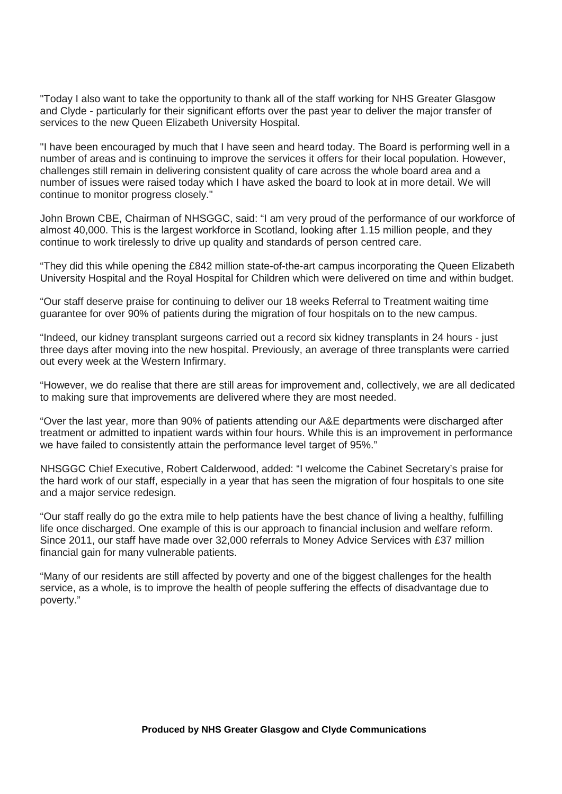"Today I also want to take the opportunity to thank all of the staff working for NHS Greater Glasgow and Clyde - particularly for their significant efforts over the past year to deliver the major transfer of services to the new Queen Elizabeth University Hospital.

"I have been encouraged by much that I have seen and heard today. The Board is performing well in a number of areas and is continuing to improve the services it offers for their local population. However, challenges still remain in delivering consistent quality of care across the whole board area and a number of issues were raised today which I have asked the board to look at in more detail. We will continue to monitor progress closely."

John Brown CBE, Chairman of NHSGGC, said: "I am very proud of the performance of our workforce of almost 40,000. This is the largest workforce in Scotland, looking after 1.15 million people, and they continue to work tirelessly to drive up quality and standards of person centred care.

"They did this while opening the £842 million state-of-the-art campus incorporating the Queen Elizabeth University Hospital and the Royal Hospital for Children which were delivered on time and within budget.

"Our staff deserve praise for continuing to deliver our 18 weeks Referral to Treatment waiting time guarantee for over 90% of patients during the migration of four hospitals on to the new campus.

"Indeed, our kidney transplant surgeons carried out a record six kidney transplants in 24 hours - just three days after moving into the new hospital. Previously, an average of three transplants were carried out every week at the Western Infirmary.

"However, we do realise that there are still areas for improvement and, collectively, we are all dedicated to making sure that improvements are delivered where they are most needed.

"Over the last year, more than 90% of patients attending our A&E departments were discharged after treatment or admitted to inpatient wards within four hours. While this is an improvement in performance we have failed to consistently attain the performance level target of 95%."

NHSGGC Chief Executive, Robert Calderwood, added: "I welcome the Cabinet Secretary's praise for the hard work of our staff, especially in a year that has seen the migration of four hospitals to one site and a major service redesign.

"Our staff really do go the extra mile to help patients have the best chance of living a healthy, fulfilling life once discharged. One example of this is our approach to financial inclusion and welfare reform. Since 2011, our staff have made over 32,000 referrals to Money Advice Services with £37 million financial gain for many vulnerable patients.

"Many of our residents are still affected by poverty and one of the biggest challenges for the health service, as a whole, is to improve the health of people suffering the effects of disadvantage due to poverty."